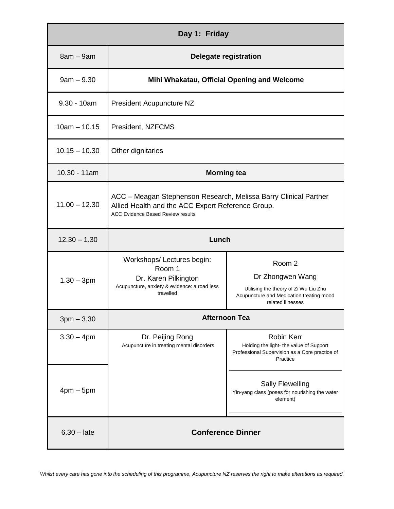| Day 1: Friday   |                                                                                                                                                                   |                                                                                                                                      |  |  |
|-----------------|-------------------------------------------------------------------------------------------------------------------------------------------------------------------|--------------------------------------------------------------------------------------------------------------------------------------|--|--|
| $8am - 9am$     | <b>Delegate registration</b>                                                                                                                                      |                                                                                                                                      |  |  |
| $9am - 9.30$    | Mihi Whakatau, Official Opening and Welcome                                                                                                                       |                                                                                                                                      |  |  |
| $9.30 - 10am$   | President Acupuncture NZ                                                                                                                                          |                                                                                                                                      |  |  |
| $10am - 10.15$  | President, NZFCMS                                                                                                                                                 |                                                                                                                                      |  |  |
| $10.15 - 10.30$ | Other dignitaries                                                                                                                                                 |                                                                                                                                      |  |  |
| 10.30 - 11am    | <b>Morning tea</b>                                                                                                                                                |                                                                                                                                      |  |  |
| $11.00 - 12.30$ | ACC - Meagan Stephenson Research, Melissa Barry Clinical Partner<br>Allied Health and the ACC Expert Reference Group.<br><b>ACC Evidence Based Review results</b> |                                                                                                                                      |  |  |
| $12.30 - 1.30$  | Lunch                                                                                                                                                             |                                                                                                                                      |  |  |
| $1.30 - 3pm$    | Workshops/ Lectures begin:<br>Room 1<br>Dr. Karen Pilkington<br>Acupuncture, anxiety & evidence: a road less<br>travelled                                         | Room 2<br>Dr Zhongwen Wang<br>Utilising the theory of Zi Wu Liu Zhu<br>Acupuncture and Medication treating mood<br>related illnesses |  |  |
| $3pm - 3.30$    | <b>Afternoon Tea</b>                                                                                                                                              |                                                                                                                                      |  |  |
| $3.30 - 4$ pm   | Dr. Peijing Rong<br>Acupuncture in treating mental disorders                                                                                                      | <b>Robin Kerr</b><br>Holding the light- the value of Support<br>Professional Supervision as a Core practice of<br>Practice           |  |  |
| $4pm - 5pm$     |                                                                                                                                                                   | <b>Sally Flewelling</b><br>Yin-yang class (poses for nourishing the water<br>element)                                                |  |  |
| $6.30 - late$   | <b>Conference Dinner</b>                                                                                                                                          |                                                                                                                                      |  |  |

 *Whilst every care has gone into the scheduling of this programme, Acupuncture NZ reserves the right to make alterations as required.*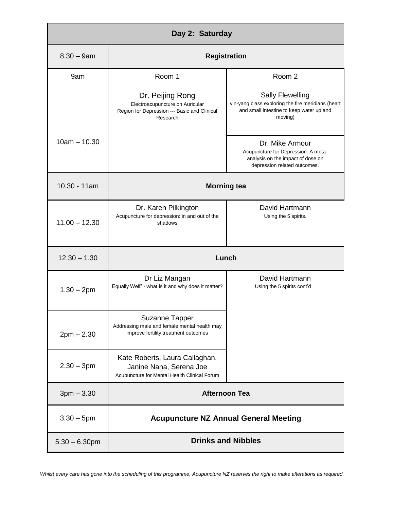| Day 2: Saturday  |                                                                                                                 |                                                                                                                                      |  |
|------------------|-----------------------------------------------------------------------------------------------------------------|--------------------------------------------------------------------------------------------------------------------------------------|--|
| $8.30 - 9$ am    | <b>Registration</b>                                                                                             |                                                                                                                                      |  |
| 9am              | Room 1                                                                                                          | Room <sub>2</sub>                                                                                                                    |  |
|                  | Dr. Peijing Rong<br>Electroacupuncture on Auricular<br>Region for Depression --- Basic and Clinical<br>Research | <b>Sally Flewelling</b><br>yin-yang class exploring the fire meridians (heart<br>and small intestine to keep water up and<br>moving) |  |
| $10am - 10.30$   |                                                                                                                 | Dr. Mike Armour<br>Acupuncture for Depression: A meta-<br>analysis on the impact of dose on<br>depression related outcomes.          |  |
| $10.30 - 11am$   | <b>Morning tea</b>                                                                                              |                                                                                                                                      |  |
| $11.00 - 12.30$  | Dr. Karen Pilkington<br>Acupuncture for depression: in and out of the<br>shadows                                | David Hartmann<br>Using the 5 spirits.                                                                                               |  |
| $12.30 - 1.30$   | Lunch                                                                                                           |                                                                                                                                      |  |
| $1.30 - 2pm$     | Dr Liz Mangan<br>Equally Well" - what is it and why does it matter?                                             | David Hartmann<br>Using the 5 spirits cont'd                                                                                         |  |
| $2pm - 2.30$     | <b>Suzanne Tapper</b><br>Addressing male and female mental health may<br>improve fertility treatment outcomes   |                                                                                                                                      |  |
| $2.30 - 3pm$     | Kate Roberts, Laura Callaghan,<br>Janine Nana, Serena Joe<br>Acupuncture for Mental Health Clinical Forum       |                                                                                                                                      |  |
| $3pm - 3.30$     | <b>Afternoon Tea</b>                                                                                            |                                                                                                                                      |  |
| $3.30 - 5$ pm    | <b>Acupuncture NZ Annual General Meeting</b>                                                                    |                                                                                                                                      |  |
| $5.30 - 6.30$ pm | <b>Drinks and Nibbles</b>                                                                                       |                                                                                                                                      |  |

 *Whilst every care has gone into the scheduling of this programme, Acupuncture NZ reserves the right to make alterations as required.*